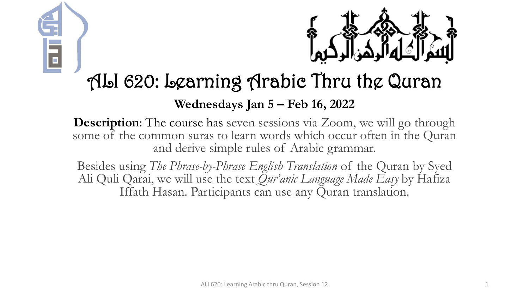



### ALI 620: Learning Arabic Thru the Quran

#### **Wednesdays Jan 5 – Feb 16, 2022**

**Description:** The course has seven sessions via Zoom, we will go through some of the common suras to learn words which occur often in the Quran and derive simple rules of Arabic grammar.

Besides using *The Phrase-by-Phrase English Translation* of the Quran by Syed Ali Quli Qarai, we will use the text *Qur'anic Language Made Easy* by Hafiza Iffath Hasan. Participants can use any Quran translation.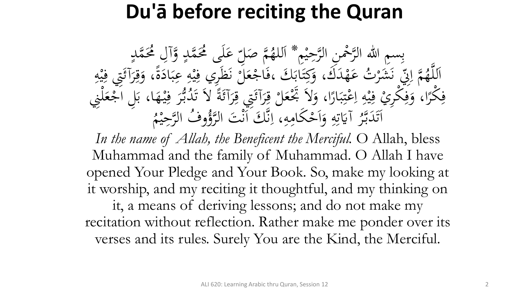### **Du'ā before reciting the Quran**

بِسِمِ اللهِ الرَّحْمِنِ الرَّحِيْمِ \* اَللهُمَّ صَلِّ<br>مَّذَبَهُ وَصَلَّى الرَّحِيْمِ \* اَللهُمَّ صَل م<br>م ه<br>يه ب<br>ه **€** للهُمَّ صَلِّ عَلَى مُحَمَّدٍ وَّآلِ مُحَمَّدٍ<br>مدين من الله  $\frac{1}{2}$ ا  $\overline{a}$  $\overline{a}$ لم<br>ح ى<br>. َ َك مد ه ت ع **ک** رت<br>.。 شر َ َ ن<br>فر س<br>رقب<br>رقب مَّة إِلَيْ<br>مَ إِلَيْ  $\overline{\mathcal{L}}$ ا ہے<br>، اَللَّهُمَّ إِنِّي نَشَرْتُ عَهْدَكَ، وَكِتَابَكَ ،فَاجْعَلَّ نَظَرِي فِيْهِ عِبَادَةً، وَقِرَآئَتِي فِيْهِ<br>حَمَّا رَبِّي مَشَرْتُ عَهْدَكَ، وَكِتَابَكَ ،فَاجْعَلَّ نَظَرِي فِيْهِ عِبَادَةً، وَقِرَآئَتِي فِيْهِ ا<br>۔  $\frac{1}{2}$ بز و<br>را ا<br>ما  $\ddot{\cdot}$ بر ِ  $\frac{1}{2}$ ه<br>به <u>،</u> بر<br>فر م ر<br>بر<br>بر <u>ة</u>  $\ddot{\circ}$ ر<br>ا <u>ة</u> َ ِ مد<br>م ه<br>بد <u>،</u> م<br>گ ر<br>گ  $\int$  $\overline{\phantom{a}}$ فِكْرًا، وَفِكْرِيْ فِيْهِ اِعْتِبَارًا، وَلاَ تَجْعَلْ قِرَآئَتِي قِرَآئَةً لاَ تَدُبُّرَ فِيْهَا، بَلِ اَجْعَلْنِي<br>مَكْرًا، وَفِكْرِيْ فِيْهِ إِعْتِبَارًا، وَلاَ تَجْعَلْ قِرَآئَتِي قِرَآئَةً لاَ تَدُبُّرَ فِيْهَا، بَلِ  $\frac{1}{2}$  $\ddot{\cdot}$ ۰.<br>ه ہ<br>ر ر<br>ا  $\ddot{\cdot}$ بر  $\ddot{.}$ :<br>\*<br>/ ى<br>م  $\frac{1}{2}$ ا ِ  $\frac{1}{2}$ ه<br>به ِ<br>ِهِ و<br>ِ ر<br>ا **ٔ فا** م ر<br>ر ِ<br>په م<br>گ ë<br>. م<br>گ ر<br>گ ت<br>ا **م**<br>. ب<br>.  $\epsilon$  $\ddot{.}$ ِ ر<br>tı ِ آيَاتِهِ وَأَحْكَامِهِ  $\mathbf{A}$ ا<br>م  $\frac{1}{2}$ ا ہ<br>ر ِ ِ<br>ٽ قة<br>م  $\ddot{\ddot{\bm{x}}}$ ر<br>ح اَتَدَبَّرُ آيَاتِهِ وَاَحْكَامِهِ، اِنَّكَ اَنْتَ ا<br>مستقط الله عليها الله عليها الله ل<br>ا تى<br>. بر<br>ن  $\ddot{\phantom{0}}$  $\ddot{\phantom{a}}$ .<br>ر ق.<br>ف  $\int$ بر<br>ز  $\overline{\mathcal{L}}$ ا م<br>. وفُ الرَّحِيْمُ  $\ddot{ }$ ه<br>ي لتَوُّرُّ<br>لروًّا

In the name of Allah, the Beneficent the Merciful. O Allah, bless Muhammad and the family of Muhammad. O Allah I have opened Your Pledge and Your Book. So, make my looking at it worship, and my reciting it thoughtful, and my thinking on it, a means of deriving lessons; and do not make my recitation without reflection. Rather make me ponder over its verses and its rules. Surely You are the Kind, the Merciful.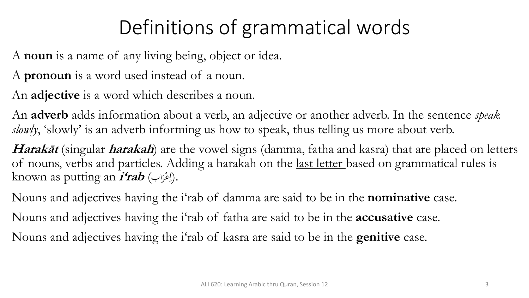# Definitions of grammatical words

A **noun** is a name of any living being, object or idea.

A **pronoun** is a word used instead of a noun.

An **adjective** is a word which describes a noun.

An **adverb** adds information about a verb, an adjective or another adverb. In the sentence *speak*  slowly, 'slowly' is an adverb informing us how to speak, thus telling us more about verb.

**Harakāt** (singular **harakah**) are the vowel signs (damma, fatha and kasra) that are placed on letters of nouns, verbs and particles. Adding a harakah on the last letter based on grammatical rules is known as putting an **i'rab** (اب مر ع .(ا ر<br>.  $\overline{\mathcal{L}}$ 

Nouns and adjectives having the i'rab of damma are said to be in the **nominative** case. Nouns and adjectives having the i'rab of fatha are said to be in the **accusative** case. Nouns and adjectives having the i'rab of kasra are said to be in the **genitive** case.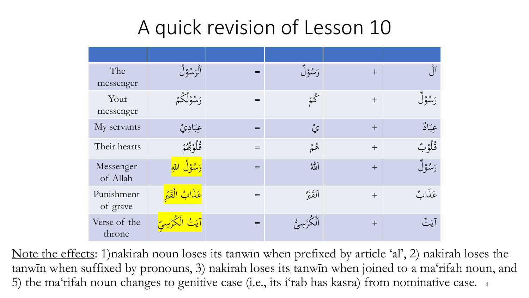### A quick revision of Lesson 10

| The<br>messenger       | أَلْرَسُوْلُ                   | $=$ | رَسُوْلُ    | $+$ | $\int_0^{\infty}$ |
|------------------------|--------------------------------|-----|-------------|-----|-------------------|
| Your<br>messenger      | رَسُوْلُكُمْ                   | $=$ | گم          | $+$ | رَسُوْلُ          |
| My servants            | عِبَادِيْ                      | $=$ | ۑٛ          | $+$ | عِبَادٌ           |
| Their hearts           | فُلُوْبُھُمْ                   | $=$ | ۿم          | $+$ | ڨؙڵؙۉٮۨ۫          |
| Messenger<br>of Allah  | ر <mark>یوه (</mark> ن         | $=$ | ألله        | $+$ | رَسُوْلٌ          |
| Punishment<br>of grave | <mark>عَذَابُ الْقَبْرِ</mark> | $=$ | ألقَبْرُ    | $+$ | عَذَابٌ           |
| Verse of the<br>throne | أيَتُ الْكُرْسِيِّ             | $=$ | لْكَرْسِيُّ | $+$ | آيَتٌ             |

Note the effects: 1)nakirah noun loses its tanwin when prefixed by article 'al', 2) nakirah loses the tanwīn when suffixed by pronouns, 3) nakirah loses its tanwīn when joined to a ma'rifah noun, and 5) the ma'rifah noun changes to genitive case (i.e., its i'rab has kasra) from nominative case. <sup>4</sup>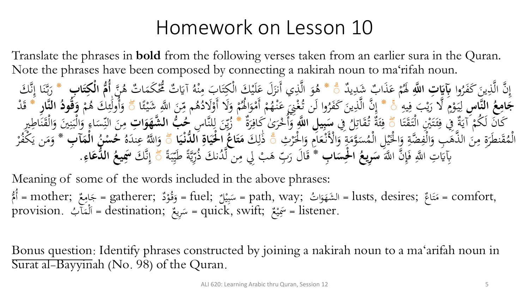#### Homework on Lesson 10

Translate the phrases in **bold** from the following verses taken from an earlier sura in the Quran. Note the phrases have been composed by connecting a nakirah noun to ma'rifah noun.

وا ُ َر َكف َ ين ِ ذ َّ ن ال َّ ِ إ **َّللآ آت ا ه ا** د **آِبَي** ي ِ ب َشد َذا َ ع م م ُ ََل \* ۗ َ َل ع َ ي أَنز ِ ذ َّ ال َ و ُ ن ه َّ ُ ت ه ا َ َكم م ُم ُّ ت َ آَي ُ ه م ْ ِ َب م ا َ ت مكِ م َك ال **م ا ُُّ آب** لَي **أ ا ا ت آ ْك** \* َك **ل** َّ ن ِ ا إ َ ْ َّ ب َ ر **ها آس الن ُ ع آ ام ا ج** ِ يه ِ ف َ ب م ي َ ال ر َّ ٍ م م و َ ي ِ ل \* ۗ َ ع َ ِن م غ ُ وا لَن ت ُ َر َكف َ ين ِ ذ َّ ن ال َّ ِ إ ا ئ م َشي ا ََّّللِ َ ن ِ م م ُ ه ُ َالد م َال أَو َ و م م ُ َُل ا َ و م أَم م م ُ ه م ْ ۗ َ و م م ُ َك ه ِ ئ َٰ **هاآر** ولَ **الن** ُ أ **ُ ود ُ ق ا** د َ م **و** \* ق ا َ ت َ ق َ ت م ال ْيِ َم ت َ ئ ِ ِِف ف ة َ آي م َن لَ ُكم َكا ۗ ِِف ُ ل ِ ات َ ُق ت ة َ ئ ِ ف **َّللآ ي آل ا ه آ ب ا س** ة َ ر ِ َٰى َكاف َ ر م خ ُ أ َ َّا ِس و \* لْ ِ ل َ ِن ي ُ **آت** ز **ا ا او شه ب ال ه ُّ ُ ح** َ ن م ِري ِ اطِ َ ْ َ ق م ال َ َْي و ِ ْ َ ب م ال َ و ِ اء َ س ِ الْ َ ل م ا َ و امِ َ ع م مْلَن ا َ و ِ ة َ وم َّ َ ُس م م ِل ال م ي ْلَ م ا َ و ِ ضة َّ ِ ف م ال َ ِب و َ ذه َّ ال َ ن ِ ةِ م َ ْطَر َ ق ُ م م ِث ال م ر ۗ َك ِ ل َٰ َذ **ا ا ي ْ دن ال ُّ آ اة ا ي ا ْل ْ ا ُ اع ا ت ا م** ۗ ُ ه َ ْد عِ ُ ا ََّّلل َ و **آ آب ا م ْ ال ُ ن ْ س ُ ح** \* م ر ُ مكف َ ن ي َ م َ و َ ن ا ََّّلل َّ ِ إ َ ف ِت ا ََّّللِ ِِبَي **آب** َ **ا ا ْلآس ْ ا ُ آريع** َك **ا** دن ُ َّ **س** \* ن ل ِ ب ِِل م َ م ه بِ َ اَل ر َ ق ة َ ب ِ طَي َّة ي ِ ر ُ ذ َك َّ ن ِ ۗ إ **آ اء ا دع ال ُّ ُ يع اَسآ** .

Meaning of some of the words included in the above phrases: أَمُّ = gatherer; وَقُوْدٌ ;e fuel = سَبِيْلٌ = path, way; أَمُّ = lusts, desires; وَقُوْدٌ ;e gatherer = أَمُّ  $\mathbf{A}$ م<br>ن م ہ<br>پ ر<br>م ي  $\ddot{\cdot}$ ب  $\overline{\phantom{0}}$ ا ہ<br>س َ  $\ddot{\lambda}$ ت م<br>ا ب .provision ُ آ لمم ;destination = ا ِريع س = quick, swift; ع .listener <sup>=</sup>ََسِ  $\ddot{\phantom{0}}$  $\frac{1}{2}$  $\overline{\phantom{0}}$  $\ddot{\cdot}$ ي

Bonus question: Identify phrases constructed by joining a nakirah noun to a ma 'arifah noun in Surat al-Bayyinah (No. 98) of the Quran.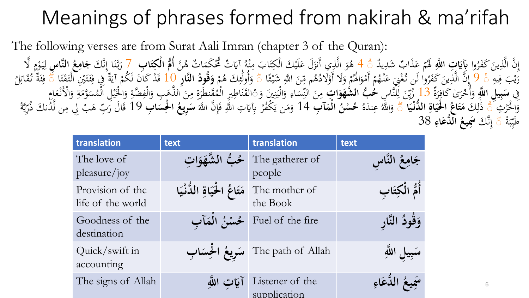# Meanings of phrases formed from nakirah & ma'rifah

The following verses are from Surat Aali Imran (chapter 3 of the Quran):

نَّ الَّذِينَ كَفَرُوا **بِآيَاتِ اللَّهِ لَهُ**مْ عَذَابٌ شَدِيدٌ رُوا **بايات اللهِ هُمْ عَدَابُ شَدِيدُ ۞ 4 هُوَ الدِي أَنْزَلُ عَلَيْكَ الْجِتَابُ مِنَهُ أَيَاتٌ محكمَاتٌ هُنَّ أَمَّ أَلْفُ الْجَمَعَ الْجَمَعَاتِ مِنْ الْمَوْتَ الْجَمَعَاتِ هُوَ الْجَمَعَاتِ مِنْ أَمْرَ الْجَمَعَاتِ م**  $\ddot{\phantom{0}}$  $\int$ إ **ا** <u>ي</u><br>: ء<br>َ م ةً 4 هُوَ الَّذِي أَنزَلَ عَلَيْكَ الْكِتَابَ مِنْهُ آيَاتٌ مُحْكَمَاتٌ هُنَّ أُمُّ الْكِتَابِ 7 رَبَّنَا إِنَّكَ **جَامِعُ النَّاسِ** لِيَوْمِ لَّا<br>عَصْلُهُمْ بِذَهِ أَوْزَهُ مُسِّسِيطٌ وَعَلَى عُلَّمَ أَبِينَ مِنْ عُلَيْه  $\ddot{\phantom{0}}$  $\frac{1}{2}$  $\mathbf{A}$ نذ<br>⇒ ت **ء** ز<br>، َ ب<br>ذ  $\int$  $\frac{1}{2}$  $\tilde{\cdot}$ ر<br>ً **آ ا**  $\ddot{\phantom{0}}$ مر<br>م  $\ddot{\ddot{\cdot}}$ ِ<br>ل ل  $\frac{4}{3}$ رَّيْبَ فِيهِ ۚ ۚ فَلَّ الَّذِينَ كَفَرُوا لَن تُغْنِيَ عَنْهُمْ أَمْوَالُهُمْ وَلَا أَوْلَادُهُمْ مِّنَ اللَّهِ شَيْئًا<br>نِ سَيَرِ اللَّهُ الصَّافِينَ حَفَرُوا لَن تُغْنِيَ عَنْهُمْ أَمْوَالُهُمْ وَلَا أَوْلَادُهُمْ مِّنَ ِ **اب**ر<br>ا ي ر<br>. i<br>S .<br>-<br>-ِس<br>م رُوا لَن تَغْنِيَ عَنْهُمْ أَمْوَاهُمْ وَلاَ أَوْلاَدُهُم مِّنَ اللَّهِ شَيْئًا ۞ وَأُولَئِكَ هُمْ **وَقُودَ**<br>2 4 <sup>بُس</sup>ِ بَاسٌ مُسْتَمَّا الْمُتَّوَى اللَّهُ إِلَيْهِ الْمُسْتَمَالِ الْمُسَافِقَ مَنْ ه<br>ر و<br>پر ا ا َ مر<br>م م<br>و **ء** ل<br>أما .<br>م  $\frac{1}{1}$  $\int$ عر<br>م ∕م<br>م .<br>چ ً وَأُولَٰئِكَ هُمْ **وَقُودُ النَّارِ 10 قَدْ كَانَ لَكُمْ آيَةٌ فِي فِئَتَيْنِ الْتَقَتَا<br>مستقدم المتوج** م ِ<br>جگہ ئم َٰ أ و<br>، **ہ**<br>> ت ة<br>م  $\ddot{\tilde{}}$ ت عر<br>م ِ يد<br>ا م  $\frac{1}{2}$ صلے<br>ا ٍ<br>ب فِئَةٌ تُقَاتِلُ ِ<br>ِن ة<br>م عر<br>م بر .<br>ف قِّ مُعَبِيلُ اللَّهِ وَأُخْرَىٰ كَافِرَةٌ 13 زُيِّنَ لِلنَّاسِ لِحُبُّ الشُّهَوَاتِ مِنَ النِّسَاءِ وَالْبَنِينَ وَ ْالْقَنَاطِيرِ الْمُقَنطَّرَةِ مِنَ النِّسْمَاءِ وَالْجَنَارِ الْمُقَنطَّرَةِ مِنَ النِّسَاءِ وَالْجَنَا **آ ا** دا<br>ر ِ ر<br>.<br>. .<br>. أ و<br>بر ۔<br>ل ل  $\ddot{\phantom{0}}$ بد<br>پيد **ا ا** ِ  $\ddot{\phantom{0}}$ ِ<br>بد  $\ddot{\phantom{0}}$  $\frac{1}{2}$  $\tilde{\cdot}$ ة<br>م ..<br>م َ ِ  $\frac{1}{2}$  $\ddot{\cdot}$ َ  $\ddot{\phantom{0}}$ م<br>م ه<br>ي و<br>پ **تة** ِ<br>ِفر َ ه<br>ا  $\ddot{\phantom{0}}$  $\mathbf{A}$ وا<br>قار ة<br>ة م<br>ا م امِ مع امْلَن و ة وم َّ **ء** َ ِ<br>ق  $\mathcal{A}$ بِّ سِبَّتِ فَيْ أَرَكَ مَتَاعُ الْحُيَاةِ اللُّهُنْيَا<br>وَالْحَرْثِ فَي ذَٰلِكَ مَتَاعُ الْحُيَاةِ اللُّهُنْيَا ر<br>پر م<br>: َ ِ ل ا<br>•<br>• **ابر**<br>با **آ ابر**<br>با **ب**<br>. **ا ا** )<br>ص ً وَاللَّهُ عِندَهُ  $\overline{\phantom{a}}$ وَاللَّهُ عِندَهُ **حُسْنُ الْمَآبِ** 14 وَمَن يَكْفُرْ بِآيَاتِ اللَّهِ فَإِنَّ اللَّهَ **سَوِيعُ الْحِسَابِ 1**9 قَالَ رَبِّ هَبْ لِي مِن لَّذُنكَ ذُرِّيَّةً َ **ا** ِ<br>پِر <u>ف</u><br>: يا<br>. م يا<br>.  $\mathcal{L}$ َ ä يكا والج ن  $\mathbf{A}$ ة<br>م ä ر - رقيعه الدُّعَاءِ \$3<br>طَيِّبَةً قُّ إِنَّكَ **سَجِيعُ الدُّعَاءِ \$3**  $\ddot{\cdot}$ بر س<br>پر بر<br>ز  $\int$ **آ ا**

| translation                           | text                                                    | translation                            | text               |
|---------------------------------------|---------------------------------------------------------|----------------------------------------|--------------------|
| The love of<br>pleasure/joy           | حُبُّ الشَّهَوَاتِ                                      | The gatherer of<br>people              | جَامِعُ النَّاسِ   |
| Provision of the<br>life of the world | The mother of مَتَاعُ الْحُيَاةِ اللُّنْيَا<br>the Book |                                        | أُمُّ الْكِتَاب    |
| Goodness of the<br>destination        |                                                         | Fuel of the fire   حُسْنُ الْمَآب      | وَقُودُ النَّار    |
| Quick/swift in<br>accounting          |                                                         | The path of Allah   سَرِيعُ الْحِسَابِ | سَبِيلِ اللَّهِ    |
| The signs of Allah                    | آيَات الله                                              | Listener of the<br>supplication        | سَمِيعُ الدُّعَاءِ |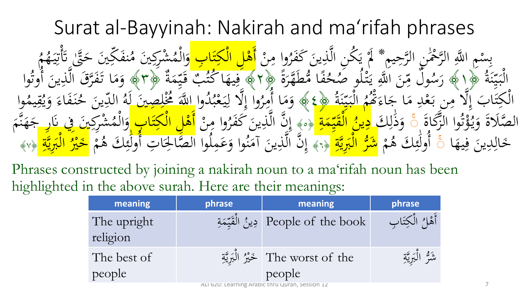### Surat al-Bayyinah: Nakirah and ma'rifah phrases

بِسْمِ اللَّهِ الرَّحْمٰنِ الرَّحِيمِ \* لَمْ يَكُنِ الَّذِينَ كَفَرُوا ا<br>أح ن<br>ز ل<sub>ٰ</sub> الرَّ-ُم<br>م ِّحْمَٰ ِسْكِمْ<br>ر الر ِمِ اللَّهِ م ل<br>أر لَّا يَكُنِ الَّذِينَ كَفَرُوا مِنْ <mark>أَهْلِ الْكِتَابِ</mark><br>دُوْرَ الْبَدِينَ كَفَرُوا مِنْ أَهْلِ الْكِتَابِ .<br>.<br>. .  $\ddot{\phantom{0}}$ ِّبِ يد<br>د بر<br>په م<br>أ مان<br>ا  $\mathbf{A}$ ا ند<br>بو بر بد<br>م مكِ م<br>ا أَهْلِ الْكِتَابِ وَالْمُشْرِكِينَ مُنفَكِينَ .<br>><br>> .<br>ه **م** شَر*كِينَ* مُ .<br>.<br>. نہ<br>مہ ھ<br>ر وَالْمُشْرِكِينَ مُنفَكِّينَ حَتَّىٰ تَأْ<br>سَعْفُرُدَ مُنفَكِّينَ حَتَّىٰ يَّ م ه<br>.<br>. م<br>أعرا و<br>م **€** و<br>ک<del>ې</del>  $\ddot{\ddot{\cdot}}$ بر<br>بد ِ<br>ن قة ما<br>مر م<br>أ ن<br>. ِ<br>:  $\ddot{c}$ ة  $\frac{1}{2}$  $\tilde{\cdot}$ ِسَ<br>پر  $\frac{1}{2}$ سا<br>ج  $\ddot{\cdot}$ بَيِّنَةٌ ﴿ إِلَهَمِ )<br>ا ال  $\ddot{\circ}$ مُّطَهَّرَةُ<br>مُطَهَّرَة ر'<br>ر لنَ<br>ُمُ غًا .<br>、 ्<br>— ح  $\frac{1}{2}$ و ص لە -<br>نَ اَللَّهِ يَتْلُ بر<br>م يا<br>و  $\ddot{\phantom{0}}$ ِس<br>م  $\frac{1}{\lambda}$ ل م  $\overline{\phantom{0}}$ و  $\frac{1}{2}$ و<br>بيد  $\overline{\phantom{a}}$ سريع<br>بِلْمَكَّةُ<br>مع رَسُولُ مِّنَ اللَّهِ يَتْلُو صُحْفًا مُّطَهَّرَةً ﴿٢﴾ فِيهَا كُتُبٌ قَيِّمَةٌ  $\blacklozenge$  $\frac{1}{2}$ يد<br>ج ة<br>ر ب ق مُحَمَّثٌ \*<br>وفر ہے<br>،  $\frac{1}{2}$ فِيهَا كُتُبٌ قَيِّمَةٌ ﴿٣﴾ وَمَا تَفَرَّقَ الَّذِي ذِ بہ<br>ل رَّق الْ<br>ر سَ<br>ر .<br>فر َ<br>تَف ا ت م<br>ارا م و<br>ِ وَمَا تَفَرَّقَ الْذِينَ أُوثُوا ٽو<br>آ وت أُ .<br>. ن  $\frac{z}{z}$ بر<br>أ  $\frac{1}{2}$  $\frac{1}{2}$ س<br>ِ∧  $\frac{1}{2}$ سا<br><mark>بر</mark>  $\ddot{\cdot}$ بر <u>ل</u><br>ا ال <u>ا</u> بو<br>م ينو<br>تُصُ **مخط**<br>مخا  $\frac{1}{2}$ اء م<br>، ا ج  $\mathcal{A}$ م د<br>محلِ ه<br>ع ب<br>. ن ب  $\mathbf{A}$ ال م م<br>| لا<br>ع ب إ  $\overline{\phantom{a}}$ ا  $\frac{1}{2}$ بز لْكِتَابَ إِلَّا مِن بَعْدِ مَا جَاءَهُمُ الْبَيِّنَةُ ﴿ ﴾ ال نما ام وا اللَّهَ مُخْلِصِينَ لَهُ الدِّينَ حُنَفَاءَ وَيُقِيمُوا َ ا<br>ا و<br>لم  $\ddot{\cdot}$ و<br>بر م ه<br>ع  $\ddot{\ddot{\cdot}}$  $\frac{1}{2}$ ِ<br>ل ال ل ية<br>إلا وا إ ر<br>ا ا أمِرُّ ِ لا ِم<br>پَذ م و ہ<br>، َ و ء<br>پ اء .<br>ه َف  $\ddot{\cdot}$ **ء** ح .<br>> ين س<br>بار  $\frac{1}{2}$ ال ہے<br>، و<br>لم ل<br><mark>ا</mark>  $\dot{\phantom{1}}$  $\blacklozenge$ و<br>يم  $\ddot{z}$ ق یا<br>. و<br>بي  $\ddot{\textbf{c}}$ تِّكَاةُ<br>نُگاةُ ستة<br>زد وا الَّ ٽو<br>آ بر<br>ت م<br>م ه<br>قرا يا<br>. و<br>به و<br>ر و  $\ddot{\circ}$ ََلة ته<br>حب الصَّ ة<br>أَ وَذَٰلِكَ ૼ ِ<br>ل ل ا<br>•<br>• :<br>-<br>. ذ َ و  $\frac{1}{4}$ ة  $\frac{1}{\sqrt{2}}$ سے<br><mark>بیمہ</mark> في القيمة ﴿ وَ﴾ إِلَّا اللَّهِ بِنَ كَفَرَ<br>إِنَّ هُوَ إِلَيْهِ إِلَيْهِ إِنَّهُ إِنَّهُ لَهُ لَهُ مِنْ الْمَرْضَى الْمَرْضَى الْمَرْضَى الْمَرْضَى الْمَر س<br>مر <u>َمُ</u> نة<br>ها **ل**<br>ا ال وم<br><mark>ين</mark> ।<br>।<br>प د ﴿٥﴾ ن<br>ا<br>ا ہ<br>ن  $\mathbf{A}$ نَّ الَّذِينَ كَفَرُوا مِ<br>سَيِّ اللَّذِينَ كَفَرُوا مِ .<br>ه .<br>><br>> بن<br>ب  $\int$ إ  $\frac{1}{2}$ بر<br>ند مكِ ِل ال م<br>ا ه أَهْلِ الْكِتَابِ <mark>َابِ وَ</mark>الْمُشْرِكِينَ فِي نَارِ ن<br>ا ْي ِِف َن .<br>پ شِركِ .<br>م  $\blacktriangle$ و<br>م م ال ہ<br>ِ و  $\mathfrak{g}$ م ِن<br>مُ پة<br>په ه  $\ddot{\phantom{0}}$ ج ا َ يه  $\frac{1}{2}$ ف  $\ddot{\phantom{0}}$ ين دِ ِ<br>ل ال  $\dot{\phantom{0}}$ خ ૼ م م **ه** َك ه ِ<br>م ئم َٰ ڵ<br>ؚ ول أُ  $\ddot{a}$ قَدِيرَ مِنْ أَنَّهُ بِيَّ أَقَدَّوا وَعَمِلُوا الصَّالِحَاتِ لكا<br>بالما ِ<br>ِلِي الم<br>ا ل<br>ا ن<br>ک پزه<mark><br>منسر</mark> ا .<br>.<br>. حق<br>صالح وا الصَّ  $\perp$ ل **ک** َ و<br>م  $\mathcal{L}$  $\ddot{\phantom{0}}$  $\int$ إ م م **ه** َك ه ِ<br>جگہ ئم َٰ ڵ<br>ؚ ول أُولَٰٓئِكَ هُمْ <mark>خَيْرُ الْبَرِيَّ</mark> ىكا<br>بە ِ<br>ِرِ الم<br>ا بر ز<br>ببور ل<br>ا ال ِ ا ا<br>ا ە<u>و</u><br>بېر **َ** ا خ ِ<br>الم ة ﴿٧﴾

Phrases constructed by joining a nakirah noun to a ma'rifah noun has been highlighted in the above surah. Here are their meanings:

| meaning                 | phrase | meaning                                                   | phrase            |
|-------------------------|--------|-----------------------------------------------------------|-------------------|
| The upright<br>religion |        | People of the book   دِينُ الْقَيِّمَةِ                   | أَهْلُ الْكِتَابِ |
| The best of             |        | The worst of the خَيْرُ الْبَرِيَّةِ                      | شَرٌ الْبَرِيَّةِ |
| people                  |        | people<br>ALI 620: Learning Arabic thru Quran, Session 12 |                   |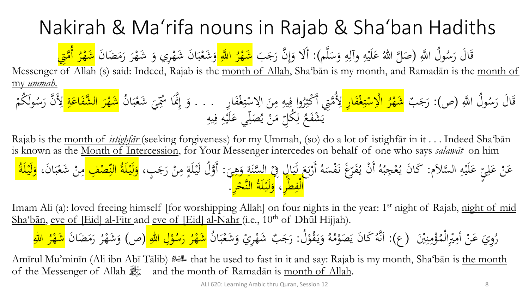# Nakirah & Ma'rifa nouns in Rajab & Sha'ban Hadiths

ولُ اللَّهِ م<br>ِ قَالَ رَسُولُ اللَّهِ (صَلَّ اللَّهُ عَلَيْهِ وآلِهِ وَسَلَّم ر<br>. ة<br>م .<br>.<br>. َ ِ ا ِ  $\ddot{\cdot}$ **ک** صَلَّ اللهُ عَلَيْهِ وآلِهِ وَسَلَّم): أَلَا وَإِنَّ رَجَبَ <mark>شَهْرُ ا</mark><br>Let alleb Shaibe is rese resed to the s  $\int$ إ َ <mark>ر</mark><br>س شَهْرُ اللَّهِ وَشَعْبَانَ شَهْرِي وَ شَهْرَ رَمَضَانَ <mark>شَهْرُ أُمَّ</mark><br>منه الله عليه السناطي الله عليه الله عليه الله عليها م ہ<br>ِ م  $\ddot{\cdot}$ بر م و<br>. ر<br>ِ م ر<br>: <mark>ر</mark><br>پ <del>شَهْرُ أُمَّتِي</del><br>مستشهر  $\frac{2}{1}$ 

Messenger of Allah (s) said: Indeed, Rajab is the month of Allah, Sha'bān is my month, and Ramadān is the month of my *ummah.*

ل ا ََّّللِ ُ و ُ س َ اَل ر َ ب ق )ص(: َ َج َ ر اِر ف م غ ِ ت م س الِ م ا ُ ر م مِِت َشه َّ ُ ْلِ ِ م ِ يه ِ وا ف ُ ر ِ مكث اِر أَ َ ف م غ ِ ت م س االِ َ ن ُ ن . . . ا َ ب م َشع َ ي ِ َس ُ َّنَا َِّ إ َ و َ ر م َشه ِ ة َ اع َ شف ال َّ م ولَ ُكم ُ س َ ن ر َّ َ ْلِ ِ يه ِ ف ِ ه م لَي َ ي ع ِ ل َ ص ُ ي م ن َ ِ م ُكل ِ ل ُ َع شف َ م ي

Rajab is the month of *istighfār* (seeking forgiveness) for my Ummah, (so) do a lot of istighfār in it . . . Indeed Sha'bān is known as the Month of Intercession, for Your Messenger intercedes on behalf of one who says *salawāt* on him ب<br>≽<br>≫ ي ل ع َن َّسَلَم ع ال ه لَي ع : لَ ع أَر س<br>پ ِ **ک** م ِ  $\ddot{\cdot}$ **ک**  $\sum_{i=1}^n$ ب<br>-<br>-برد م لى<br>ا فَرَّغَ نَفْسَهُ  $\overline{a}$ ں<br>ر يا<br>. ن ي أَ م ام<br>ا و<br>لم  $\ddot{\cdot}$ و<br>م جِ ع م كَانَ يُعْجِبُهُ أَنْ يُفَرِّغَ نَفْسَهُ أَرْبَعَ لَيَالٍ فِيْ السَّنَةِ وَهِيَ: أَوَّلُ لَيْلَةٍ مِنْ رَجَبٍ، <mark>وَلَيْلَةُ النِّصْفِ </mark>مِنْ شَعْبَانَ، <mark>وَلَيْلَةُ</mark><br>كَانَ يُعْجِبُهُ أَنْ يُفَرِّغَ نَفْسَهُ أَرْبَعَ لَيْهِمْ  $\frac{1}{2}$ ِم<br>ِم و<br>د <u>بة</u>  $\frac{1}{\sqrt{2}}$ م  $\frac{1}{2}$  $\ddot{\cdot}$ **∶**  $\ddot{\phantom{0}}$ م  $\mathbf{A}$ <u>بة</u>  $\ddot{•}$ و<br>ا ر<br>ا ِ<br>بد ا<br>ما  $\ddot{\cdot}$ بر م  $\mathbf{A}$ ا<br>ما <mark>ٌ</mark> الْفِطْرِ، وَلَيْلَةُ النَّحْرِ<sup>ِ</sup>. <u>ا</u>  $\mathbf{z}$ <mark>ل</mark> **م**<br>ا  $\ddot{\bullet}$ <u>ہ</u>

Imam Ali (a): loved freeing himself [for worshipping Allah] on four nights in the year: 1<sup>st</sup> night of Rajab, night of mid Sha'bān, eve of [Eid] al-Fitr and eve of [Eid] al-Nahr (i.e., 10<sup>th</sup> of Dhūl Hijjah).

ۇمنين<br>فر بذ  $\frac{1}{2}$  $\mathbf{A}$ م<br>م  $\blacktriangle$ وِيَ عَنْ أَمِيْرِالْمُ م ِ<br>ِرا م<br>م  $\mathbf{A}$ م  $\ddot{\cdot}$ ر<br>ِ رُوِيَ عَنْ أُمِيْرِالْمُؤْمِنِيْنَ ۖ (عٖ): اَنَّهُ كَانَ يَصَوْمُهُ وَيَقُوْلُ م يا<br>. َ ام<br>ا و<br>لم **لا** م و َص َن ي َكا ُ م  $\ddot{\phantom{0}}$ اَنَّهُ كَانَ يَصَوْمُهُ وَيَقُوْلُ: رَجَبٌ بر<br>ز  $\int$ رَجَبٌ شَهْرِيْ وَشَعْبَانُ <mark>شَهْرُ رَسُوْلِ اللهِ</mark> م  $\ddot{\cdot}$ بر م َ م <mark>م</mark> <mark>ب</mark><br>ا ر و<br><mark>رسد</mark> <mark>ر</mark> <mark>ر</mark> <mark>شَهْرُ رَسُوْلِ اللهِ (</mark>ص) وَشَهْرُ رَمَضَانَ م ر<br>ا ر<br>ِ وَشَهْرُ رَمَضَانَ <mark>شَهْرُ اللّٰهِ</mark> م َ <mark>ر</mark> مشك<mark>ر</mark> الم<br>ما

Amīrul Mu'minīn (Ali ibn Abī Tālib) ملِلسِّناه that he used to fast in it and say: Rajab is my month, Sha'bān is the month of the Messenger of Allah  $\frac{1}{4}$  and the month of Ramadān is month of Allah.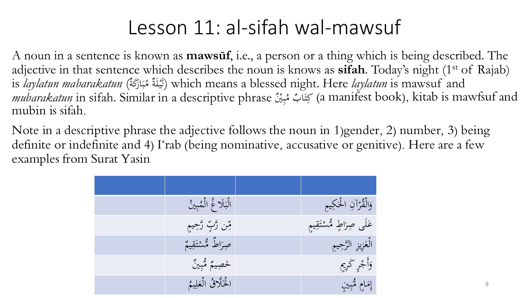## Lesson 11: al-sifah wal-mawsuf

A noun in a sentence is known as **mawsūf**, i.e., a person or a thing which is being described. The adjective in that sentence which describes the noun is knows as **sifah**. Today's night (1<sup>st</sup> of Rajab) is *laylatun mabarakatun* (لَيْلَةٌ مُبَارَكَةٌ) which means a blessed night. Here *laylatun* is mawsuf and .<br>.<br>. ر<br>、  $\boldsymbol{\dot{\cdot}}$ ب **ه** *mubarakatun* in sifah. Similar in a descriptive phrase مُبِيْنٌ  $\ddot{\cdot}$ بد بَيَّابٌ مُ (a manifest book), kitab is mawfsuf and  $\ddot{\lambda}$ ت mubin is sifah.

Note in a descriptive phrase the adjective follows the noun in 1)gender, 2) number, 3) being definite or indefinite and 4) I'rab (being nominative, accusative or genitive). Here are a few examples from Surat Yasin

| الْبَلَا غُ الْمُبِينُ | وَالْقُرْآنِ الْحَكِيمِ    |
|------------------------|----------------------------|
| مِّن رَّبِّ رَّحِيمِ   | عَلَى صِرَاطٍ مُّسْتَقِيمٍ |
| حبراطٌ مُّسْتَقِيمٌ    | الْعَزِيزِ الرَّحِيمِ      |
| خَصِيمٌ مُّبِينٌ       | وَأَجْرٍ كَرِيمٍ           |
| الْخَلَّاقُ الْعَلِيمُ | إمَامِ مُثْبِينِ           |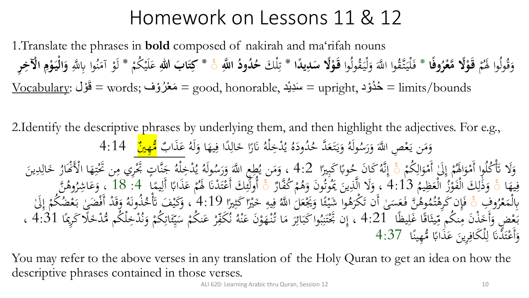## Homework on Lessons 11 & 12

1.Translate the phrases in **bold** composed of nakirah and ma'rifah nouns م ده<br>م وَقُولُوا لَهُمْ **قَوْلًا مَّعْرُوفَا** َ **ا** ر<br>ا قَوْلًا مَّعْرُوفًا \* فَلْيَتَّقُوا اللَّهَ وَلْيَقُولُوا قَوْلًا سَلِيلًاا \* تِلْكَ حُدُودُ اللَّهِ عَ جَتابَ اللهِ عَلَيْكُمْ \* لَوْ آمَنُوا بِاللَّهِ وَالْيَوْمِ الْآخِرِ **ْ ْ**  $\ddot{\cdot}$ ل<br>أ ل َ  $\epsilon$ تة<br>تذ  $\ddot{\cdot}$ **ا ي**<br>: **ْ** م ِ<br>ِن ق<br>تر **ا** م  $\ddot{\cdot}$ **ک** و<br>م  $\mathcal{A}$ م **ا آ ْ ْ ا**  $\frac{\rm Vocaluity:}{\rm v}$ قُوْل  $=$  words; حَدُوْد ,honorable = سَدِيْد = upright = هَذُوْد  $=$  limits/bounds و<br>۔ ر<br>پ

2.Identify the descriptive phrases by underlying them, and then highlight the adjectives. For e.g., **ائ** نَارًا خَالِدًا فِيهَ ِ ل<br>ا ِ<br>ل .<br>م ر<br>ا ہ<br>ا .<br>نْـرِخِلْهُ م ل<br>ا ُ ُ و<br>يو ه ود ُ د  $\ddot{\phantom{0}}$ ُ وَيَتَعَدَّ حُ **گ**ر  $\ddot{\lambda}$ يا<br>. َ ُ ولَه ُ وَمَن يَعْصِ اللَّهَ وَرَسُّه  $\frac{1}{2}$ َ  $\epsilon$ م يہ<br>.  $\mathcal{L}$ ہ<br>ر ا وَلَهُ عَذَابٌ َ عَذَابٌ <mark>مُّهِينٌ</mark> 4:14 <u>ء</u><br>– م ُمْ إِلَىٰ أَمْوَالِكُمْ<br>مَ ِ َ م<br>.  $\int$ إ م<br>م وَلَا ۖ تَأْكُلُوا أَمْوَالَهُمْ إِلَىٰ أَمْوَالِكُمْ ۚ وَ إِنَّهُ كَانَ حُوبًا كَبِيرًا<br>يَدْ عَمَّا بِرَاءَ إِنَّهُ وَإِرْبَعَ الْجَمَعَةِ وَإِنْ الْمَدَى وَ 1 َ م<br>. أ ت<br>. َ  $\overline{\phantom{a}}$ ب<br>ب ہُ کَانَ مُح<br>مِرَى مِلَّا إِنَّهُ كَانَ حُوبًا كَبِيرًا  $4{:}2$  ، وَمَن يُطِعِ اللَّهَ وَرَسُولَهُ يُدْخِلْهُ جَنَّاتٍ بر<br>ز  $\frac{1}{2}$ ىن<br>م پر<br>ع ہ<br>ء .<br>نْدْخِلْهُ م ل<br>ا مُولَهُ يُر<br>ُسَ أَمَر و<br>به ِ<br>طِعِ اللَّهَ وَرَسُّهُ ر<br>ر و<br>ه  $\frac{2}{3}$ يا<br>. ، وَمَن يُطِعِ اللَّهَ وَرَسُولَهُ يُدْخِلْهُ جَنَّاتٍ تَجْرِي مِن تَحْتِهَا الْأَنْهَارُ خَالِدِينَ<br>يُوَي مِنْ أَيْرَاءَ عَنْ يَاءً عَنْ اللَّهَ عَنَ اللَّهَ عَنْ اللَّهُ عَلَى الْأَنْهَارُ خَالِدِينَ م<br>, و<br>ال ِ<br>ل .<br>م ے<br>ح <u>بر</u> **تنبات**  $\mathbf{A}$  $\ddot{\phantom{0}}$ ِ فِيهَا ۚ وَذَٰلِكَ الْفَوْزُ الْعَظِيمُ 4:13 ، وَلَا الَّذِينَ يَمُوتُونَ وَهُمْ كُفَّارٌ ۚ أُولَٰئِكَ أَعْتَدْنَا لَهُمْ عَذَابًا أَلِيمًا ﴾: 18 ، وَعَاشِرُوهُنَّ<br>بِأَنْ وَفَيْ بِالْقَوْزُ الْعَظِيمُ 4:13 ، وَلا الَّذِين ىم<br>، ِ مَ 21:5 ، وَلاَ اللَّهِ بِنَ يَمُوتُولُ وَهُمْ كَفَارٌ ﴾ اولئِكَ اعتَكْنَا هُمْ عَكَابًا اليمَا ۖ 10 : 10 ، وَعَاشِرُوه<br>يُسَمَّى مَا أَنْ يَحْرِمُوا حَوْيًا بِرَوْيَا بِهُوَ يَنْ وَعَاشَ قَالَ 10 ، سِيَوْنَ عَوْمٍ مِنْ ال م ه<br>ر م ؚ ل ا<br>•<br>• َ م و<br>ه  $\frac{1}{1}$ ِّبِ و<br>ڊ ے<br>پ م  $\frac{1}{2}$ ،<br>مر <sup>ٔ</sup>ٰ أ م<br>∶∶ ِ<br>ل ب<br>ہ **ء** م ى<br>. َ ِف و ر<br>ِ بِالْمَعْرُوفِ ۚ أَ فَإِن كَرِهْنُهُوهُنَّ فَعَسَىٰ أَن تَكْرَهُوا شَيْئًا وَيَجْعَلَٰ اللَّهُ<br>يَهُ يَهْتَمَ وَيَهَ لَّهُمْ يَسْمَلَهُ وَاللَّهُ إِنَّ إِنَّ إِنَّ لَهُمْ إِن وَّصَرِ إِن يَهْدَى إِن اللَّهُ م ە<br>. م i<br>S ِ<br>ِ م<br>م ہ<br>، ء<br>م ∕<br>مح م<br>مہ ه<br>ا وهُنَّ فَعَسَىٰ أَن تَكَرَهُ<br>ئَكْفَرْ وَالْمُسْكَمَّةِ وَالْمُسْكَمَّةِ ر<br>( ت<br>ر ا<br>ا  $\overline{a}$ م<br>ُ∴ فَإِن كَرِهْتُمُوهُنَّ فَعَسَىٰ أَن تَكْرَهُوا شَيْئًا وَيَجْعَلُ اللَّهُ فِيهِ خَيْرًا كَثِيرًا (4:19 ، وَكَيْفَ تَأْخُذُونَهُ وَقَدْ أَفْضَىٰ بَعْ<br>مَحْمَدَ سَيَئِينَ إِيهَا 101 مسرد وَصَوْرِي وَسَيْبِ مِنْ مَقْرَبِ وَوَ و<br>ته م<br>.. ف<br>أ ر (<br>ر<br>.  $\ddot{\ddot{\cdot}}$ ا  $\overline{ }$ م ِ م ب<br>< ا<br>ا ف<br>م ہ<br>ج مُذُونَهُ<br>وه ، وَكَيْفَ تَأْخُذُونَهُ وَقَدْ أَفْضَىٰ بَعْضُكُمْ إِلَىٰ<br>مستدرجہ وہ ویکھ وہ ویکھ اور ا م ت<br>ت و<br>.  $\int$ إ م يثَاقًا غَلِيظًا<br>• <u>|</u>  $\overline{1}$ <u>ق</u> شہ<br>م ِس<br>م بَعْض وَأَخَذْنَ مِنكُم مِّيثَاقًا غَلِيظًا  $21$ :4 ، إِن بِخْتَنِبُوا كَبَائِرَ مَا تُنْهَوْنَ عَنْهُ نُكَفِّرْ عَ<br>عَصَمَّى الْكَبَانِ مِنكُمْ مِّيتَاقًا غَلِيظًا لَم  $\ddot{\cdot}$ ِر<br>ِم .<br>.<br>. خ<br>أ≀ و<br>، .<br>ب م ب<br>. **ک** م بر<br>ِهِ بر<br>ز وا كَبَائِرَ مَا تُنْهَوْنَ عَنْهُ .<br>م  $\ddot{\cdot}$ **ک** م َ .<br>م  $\mathcal{L}$ ر<br>. ۔<br>بہ  $\ddot{\cdot}$ َّ بِّكْتَنِبُواْ كَبَائِرَ مَا تُنْهَوْنَ عَنْهُ نُكَفِّرْ عَنكُمْ سَيِّئَاتِكُمْ وَنُدْخِلْكُم مُّدْخَلًا كَ و<br>بر  $\ddot{\cdot}$  $\frac{1}{2}$  $\ddot{\lambda}$ بز .<br>أ .<br>م م بر<br>ز َ م ِ<br>ِن عر<br>م ر<br>محم سا<br>منا  $\frac{1}{2}$ يا<br>بر  $\overline{a}$ كُمْ سَيِّئَاتِكُمْ وَنُدْخِلْكُم مُّدْخَلًا كَرِيمًا 4:31 ، م  $\ddot{\cdot}$  $\overline{\phantom{0}}$ وَأَعْتَدْنَا لِلْكَافِرِينَ عَذَابًا مُّهِينًا  $37$ 37:  $\ddot{\lambda}$ ب<br>. **ء**  $\ddot{\phantom{0}}$ ِ م ِ<br>ل ل .<br>نا بز م َ

You may refer to the above verses in any translation of the Holy Quran to get an idea on how the descriptive phrases contained in those verses.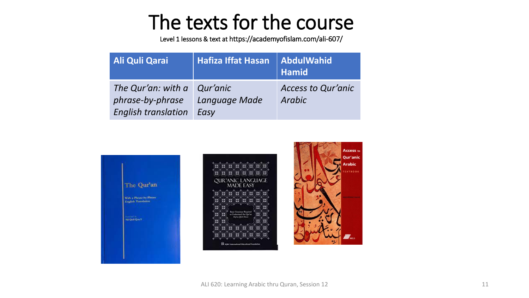## The texts for the course

Level 1 lessons & text at https://academyofislam.com/ali-607/

| <b>Ali Quli Qarai</b>                                                                | <b>Hafiza Iffat Hasan</b> | <b>AbdulWahid</b><br><b>Hamid</b>   |
|--------------------------------------------------------------------------------------|---------------------------|-------------------------------------|
| The Qur'an: with $a \mid$ Qur'anic<br>phrase-by-phrase<br><b>English translation</b> | Language Made<br>Easy     | <b>Access to Qur'anic</b><br>Arabic |